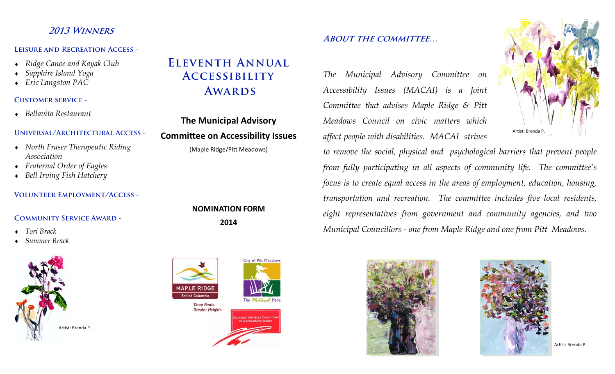# **2013 Winners**

#### **Leisure and Recreation Access -**

- ٠ *Ridge Canoe and Kayak Club*
- ٠ *Sapphire Island Yoga*
- *Eric Langston PAC*

### **Customer service -**

*Bellavita Restaurant* 

### **Universal/Architectural Access -**

- *North Fraser Therapeutic Riding Association*
- ٠ *Fraternal Order of Eagles*
- ٠ *Bell Irving Fish Hatchery*

### **Volunteer Employment/Access -**

### **Community Service Award -**

- ٠ *Tori Brack*
- ٠ *Summer Brack*



# **Eleventh Annual Accessibility Awards**

# **The Municipal Advisory CommiƩee on Accessibility Issues**

(Maple Ridge/Pitt Meadows)

# **NOMINATION FORM2014**



## **About the committee…**

*The Municipal Advisory Committee on Accessibility Issues (MACAI) is a Joint Committee that advises Maple Ridge & Pitt Meadows Council on civic matters which affect people with disabilities. MACAI strives* 



*to remove the social, physical and psychological barriers that prevent people from fully participating in all aspects of community life. The committee's focus is to create equal access in the areas of employment, education, housing, transportation and recreation. The committee includes five local residents, eight representatives from government and community agencies, and two Municipal Councillors - one from Maple Ridge and one from Pitt Meadows.* 





Artist: Brenda P.